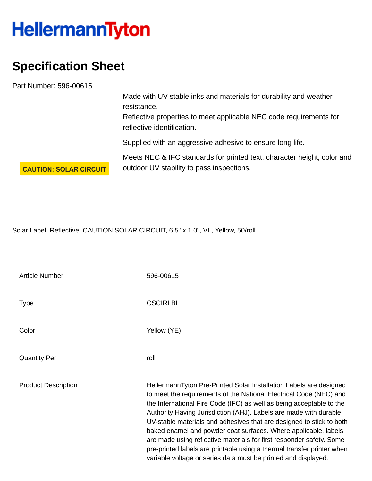## **HellermannTyton**

## **Specification Sheet**

Part Number: 596-00615

Made with UV-stable inks and materials for durability and weather resistance.

Reflective properties to meet applicable NEC code requirements for reflective identification.

Supplied with an aggressive adhesive to ensure long life.

Meets NEC & IFC standards for printed text, character height, color and outdoor UV stability to pass inspections.

**CAUTION: SOLAR CIRCUIT** 

Solar Label, Reflective, CAUTION SOLAR CIRCUIT, 6.5" x 1.0", VL, Yellow, 50/roll

| <b>Article Number</b>      | 596-00615                                                                                                                                                                                                                                                                                                                                                                                                                                                                                                                                                                                                                                            |
|----------------------------|------------------------------------------------------------------------------------------------------------------------------------------------------------------------------------------------------------------------------------------------------------------------------------------------------------------------------------------------------------------------------------------------------------------------------------------------------------------------------------------------------------------------------------------------------------------------------------------------------------------------------------------------------|
| <b>Type</b>                | <b>CSCIRLBL</b>                                                                                                                                                                                                                                                                                                                                                                                                                                                                                                                                                                                                                                      |
| Color                      | Yellow (YE)                                                                                                                                                                                                                                                                                                                                                                                                                                                                                                                                                                                                                                          |
| <b>Quantity Per</b>        | roll                                                                                                                                                                                                                                                                                                                                                                                                                                                                                                                                                                                                                                                 |
| <b>Product Description</b> | HellermannTyton Pre-Printed Solar Installation Labels are designed<br>to meet the requirements of the National Electrical Code (NEC) and<br>the International Fire Code (IFC) as well as being acceptable to the<br>Authority Having Jurisdiction (AHJ). Labels are made with durable<br>UV-stable materials and adhesives that are designed to stick to both<br>baked enamel and powder coat surfaces. Where applicable, labels<br>are made using reflective materials for first responder safety. Some<br>pre-printed labels are printable using a thermal transfer printer when<br>variable voltage or series data must be printed and displayed. |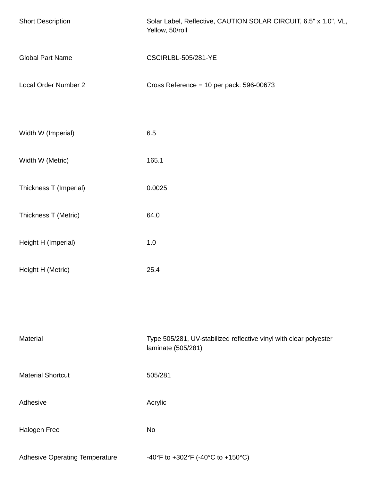| <b>Short Description</b>              | Solar Label, Reflective, CAUTION SOLAR CIRCUIT, 6.5" x 1.0", VL,<br>Yellow, 50/roll     |
|---------------------------------------|-----------------------------------------------------------------------------------------|
| <b>Global Part Name</b>               | CSCIRLBL-505/281-YE                                                                     |
| Local Order Number 2                  | Cross Reference = $10$ per pack: 596-00673                                              |
|                                       |                                                                                         |
| Width W (Imperial)                    | 6.5                                                                                     |
| Width W (Metric)                      | 165.1                                                                                   |
| Thickness T (Imperial)                | 0.0025                                                                                  |
| Thickness T (Metric)                  | 64.0                                                                                    |
| Height H (Imperial)                   | 1.0                                                                                     |
| Height H (Metric)                     | 25.4                                                                                    |
|                                       |                                                                                         |
|                                       |                                                                                         |
| Material                              | Type 505/281, UV-stabilized reflective vinyl with clear polyester<br>laminate (505/281) |
| <b>Material Shortcut</b>              | 505/281                                                                                 |
| Adhesive                              | Acrylic                                                                                 |
| Halogen Free                          | <b>No</b>                                                                               |
| <b>Adhesive Operating Temperature</b> | -40°F to +302°F (-40°C to +150°C)                                                       |